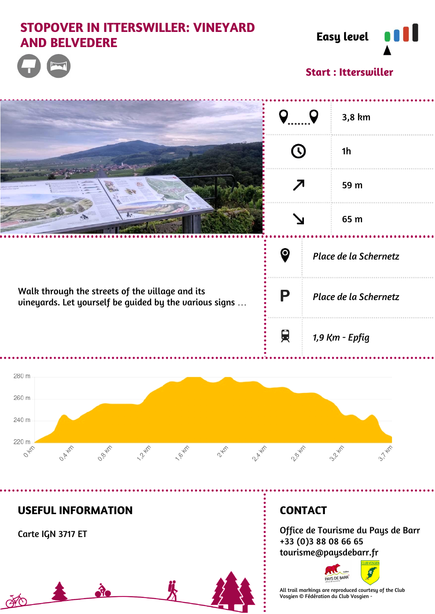# **STOPOVER IN ITTERSWILLER: VINEYARD AND BELVEDERE Easy level**



**Start : Itterswiller**



**USEFUL INFORMATION**

Carte IGN 3717 ET

**EXPO** 

## **CONTACT**

...........

Office de Tourisme du Pays de Barr +33 (0)3 88 08 66 65 tourisme@paysdebarr.fr



All trail markings are reproduced courtesy of the Club Vosgien © Fédération du Club Vosgien -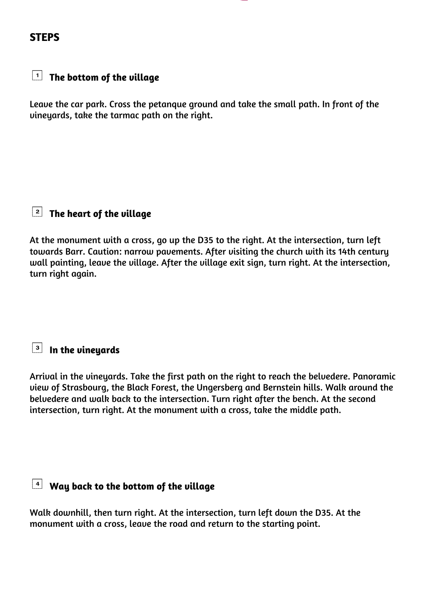#### **STEPS**

## **The bottom of the village**

Leave the car park. Cross the petanque ground and take the small path. In front of the vineyards, take the tarmac path on the right.

### **The heart of the village**

At the monument with a cross, go up the D35 to the right. At the intersection, turn left towards Barr. Caution: narrow pavements. After visiting the church with its 14th century wall painting, leave the village. After the village exit sign, turn right. At the intersection, turn right again.

## **In the vineyards**

Arrival in the vineyards. Take the first path on the right to reach the belvedere. Panoramic view of Strasbourg, the Black Forest, the Ungersberg and Bernstein hills. Walk around the belvedere and walk back to the intersection. Turn right after the bench. At the second intersection, turn right. At the monument with a cross, take the middle path.

### **Way back to the bottom of the village**

Walk downhill, then turn right. At the intersection, turn left down the D35. At the monument with a cross, leave the road and return to the starting point.